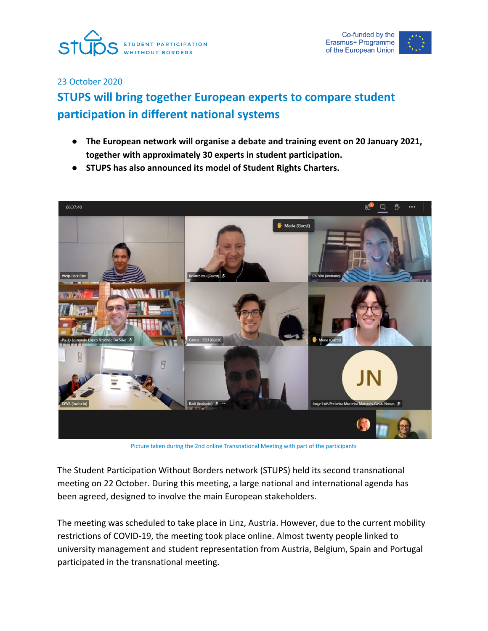



23 October 2020

## **STUPS will bring together European experts to compare student participation in different national systems**

- **● The European network will organise a debate and training event on 20 January 2021, together with approximately 30 experts in student participation.**
- **● STUPS has also announced its model of Student Rights Charters.**



Picture taken during the 2nd online Transnational Meeting with part of the participants

The Student Participation Without Borders network (STUPS) held its second transnational meeting on 22 October. During this meeting, a large national and international agenda has been agreed, designed to involve the main European stakeholders.

The meeting was scheduled to take place in Linz, Austria. However, due to the current mobility restrictions of COVID-19, the meeting took place online. Almost twenty people linked to university management and student representation from Austria, Belgium, Spain and Portugal participated in the transnational meeting.